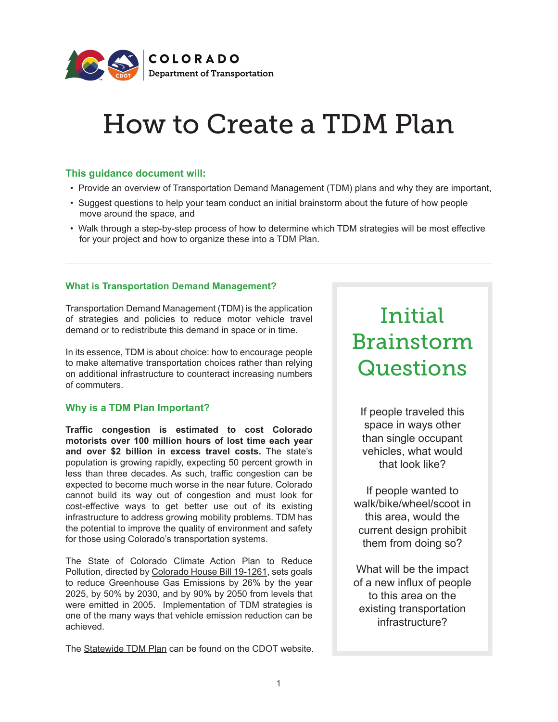

## How to Create a TDM Plan

#### **This guidance document will:**

- Provide an overview of Transportation Demand Management (TDM) plans and why they are important,
- Suggest questions to help your team conduct an initial brainstorm about the future of how people move around the space, and
- Walk through a step-by-step process of how to determine which TDM strategies will be most effective for your project and how to organize these into a TDM Plan.

#### **What is Transportation Demand Management?**

Transportation Demand Management (TDM) is the application of strategies and policies to reduce motor vehicle travel demand or to redistribute this demand in space or in time.

In its essence, TDM is about choice: how to encourage people to make alternative transportation choices rather than relying on additional infrastructure to counteract increasing numbers of commuters.

#### **Why is a TDM Plan Important?**

**Traffic congestion is estimated to cost Colorado motorists over 100 million hours of lost time each year and over \$2 billion in excess travel costs.** The state's population is growing rapidly, expecting 50 percent growth in less than three decades. As such, traffic congestion can be expected to become much worse in the near future. Colorado cannot build its way out of congestion and must look for cost-effective ways to get better use out of its existing infrastructure to address growing mobility problems. TDM has the potential to improve the quality of environment and safety for those using Colorado's transportation systems.

The State of Colorado Climate Action Plan to Reduce Pollution, directed by [Colorado House Bill 19-1261,](https://leg.colorado.gov/bills/hb19-1261) sets goals to reduce Greenhouse Gas Emissions by 26% by the year 2025, by 50% by 2030, and by 90% by 2050 from levels that were emitted in 2005. Implementation of TDM strategies is one of the many ways that vehicle emission reduction can be achieved.

The [Statewide TDM Plan](https://www.codot.gov/programs/commuterchoices/tdm.html) can be found on the CDOT website.

## Initial Brainstorm **Questions**

If people traveled this space in ways other than single occupant vehicles, what would that look like?

If people wanted to walk/bike/wheel/scoot in this area, would the current design prohibit them from doing so?

What will be the impact of a new influx of people to this area on the existing transportation infrastructure?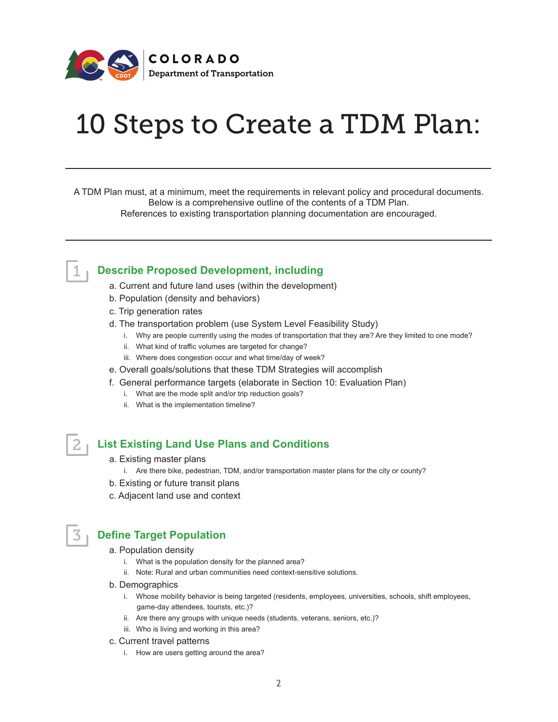

# 10 Steps to Create a TDM Plan:

A TDM Plan must, at a minimum, meet the requirements in relevant policy and procedural documents. Below is a comprehensive outline of the contents of a TDM Plan. References to existing transportation planning documentation are encouraged.

#### **Describe Proposed Development, including**

- a. Current and future land uses (within the development)
- b. Population (density and behaviors)
- c. Trip generation rates
- d. The transportation problem (use System Level Feasibility Study)
	- i. Why are people currently using the modes of transportation that they are? Are they limited to one mode?
	- ii. What kind of traffic volumes are targeted for change?
	- iii. Where does congestion occur and what time/day of week?
- e. Overall goals/solutions that these TDM Strategies will accomplish
- f. General performance targets (elaborate in Section 10: Evaluation Plan)
	- i. What are the mode split and/or trip reduction goals?
	- ii. What is the implementation timeline?

#### **List Existing Land Use Plans and Conditions**

1

2

3

- a. Existing master plans
	- i. Are there bike, pedestrian, TDM, and/or transportation master plans for the city or county?
- b. Existing or future transit plans
- c. Adjacent land use and context

#### **Define Target Population**

- a. Population density
	- i. What is the population density for the planned area?
	- ii. Note: Rural and urban communities need context-sensitive solutions.
- b. Demographics
	- i. Whose mobility behavior is being targeted (residents, employees, universities, schools, shift employees, game-day attendees, tourists, etc.)?
	- ii. Are there any groups with unique needs (students, veterans, seniors, etc.)?
	- iii. Who is living and working in this area?
- c. Current travel patterns
	- i. How are users getting around the area?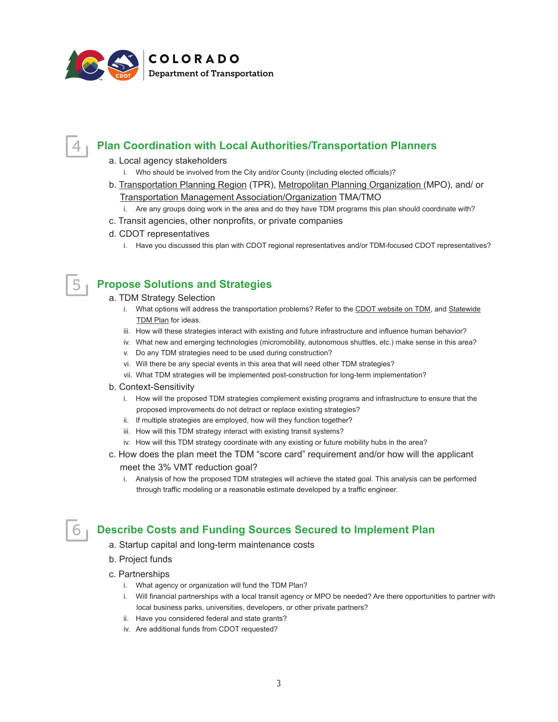

### **Plan Coordination with Local Authorities/Transportation Planners**

a. Local agency stakeholders

4

- i. Who should be involved from the City and/or County (including elected officials)?
- b. [Transportation Planning Region \(TPR\),](https://www.codot.gov/programs/planning/planning-partners/tpr-mpo) [Metropolitan Planning Organization \(MPO\)](https://www.codot.gov/programs/planning/planning-programs/mpo-rural-planning.html), and/ or [Transportation Management Association/Organization TMA/TMO](https://www.codot.gov/programs/commuterchoices/tma-tmo.html)
- i. Are any groups doing work in the area and do they have TDM programs this plan should coordinate with?
- c. Transit agencies, other nonprofits, or private companies
- d. CDOT representatives
	- i. Have you discussed this plan with CDOT regional representatives and/or TDM-focused CDOT representatives?

#### **Propose Solutions and Strategies** 5

#### a. TDM Strategy Selection

- i. What options will address the transportation problems? Refer to the [CDOT website on TDM,](https://www.codot.gov/programs/commuterchoices/tdm.html) and Statewide [TDM Plan](https://www.codot.gov/programs/commuterchoices/assets/documents/2019statewidetransportationdemandmanagementplan_phase1.pdf) for ideas.
- iii. How will these strategies interact with existing and future infrastructure and influence human behavior?
- iv. What new and emerging technologies (micromobility, autonomous shuttles, etc.) make sense in this area?
- v. Do any TDM strategies need to be used during construction?
- vi. Will there be any special events in this area that will need other TDM strategies?
- vii. What TDM strategies will be implemented post-construction for long-term implementation?
- b. Context-Sensitivity
	- i. How will the proposed TDM strategies complement existing programs and infrastructure to ensure that the proposed improvements do not detract or replace existing strategies?
	- ii. If multiple strategies are employed, how will they function together?
	- iii. How will this TDM strategy interact with existing transit systems?
	- iv. How will this TDM strategy coordinate with any existing or future mobility hubs in the area?
- c. How does the plan meet the TDM "score card" requirement and/or how will the applicant meet the 3% VMT reduction goal?
	- i. Analysis of how the proposed TDM strategies will achieve the stated goal. This analysis can be performed through traffic modeling or a reasonable estimate developed by a traffic engineer.

#### **Describe Costs and Funding Sources Secured to Implement Plan**

- a. Startup capital and long-term maintenance costs
- b. Project funds

6

- c. Partnerships
	- i. What agency or organization will fund the TDM Plan?
	- i. Will financial partnerships with a local transit agency or MPO be needed? Are there opportunities to partner with local business parks, universities, developers, or other private partners?
	- ii. Have you considered federal and state grants?
	- iv. Are additional funds from CDOT requested?